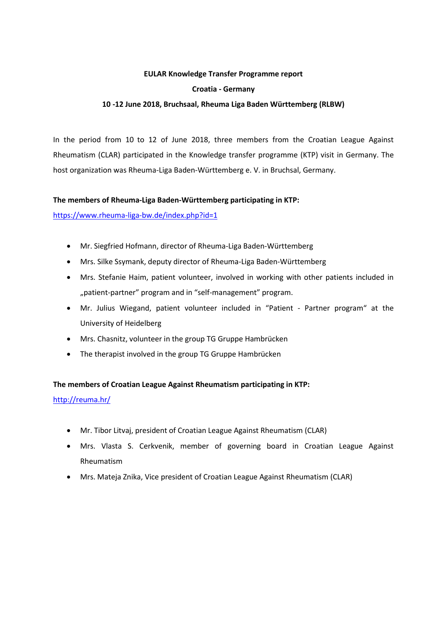#### **EULAR Knowledge Transfer Programme report**

#### **Croatia - Germany**

### **10 -12 June 2018, Bruchsaal, Rheuma Liga Baden Württemberg (RLBW)**

In the period from 10 to 12 of June 2018, three members from the Croatian League Against Rheumatism (CLAR) participated in the Knowledge transfer programme (KTP) visit in Germany. The host organization was Rheuma-Liga Baden-Württemberg e. V. in Bruchsal, Germany.

#### **The members of Rheuma-Liga Baden-Württemberg participating in KTP:**

<https://www.rheuma-liga-bw.de/index.php?id=1>

- Mr. Siegfried Hofmann, director of Rheuma-Liga Baden-Württemberg
- Mrs. Silke Ssymank, deputy director of Rheuma-Liga Baden-Württemberg
- Mrs. Stefanie Haim, patient volunteer, involved in working with other patients included in "patient-partner" program and in "self-management" program.
- Mr. Julius Wiegand, patient volunteer included in "Patient Partner program" at the University of Heidelberg
- Mrs. Chasnitz, volunteer in the group TG Gruppe Hambrücken
- The therapist involved in the group TG Gruppe Hambrücken

# **The members of Croatian League Against Rheumatism participating in KTP:**

<http://reuma.hr/>

- Mr. Tibor Litvaj, president of Croatian League Against Rheumatism (CLAR)
- Mrs. Vlasta S. Cerkvenik, member of governing board in Croatian League Against Rheumatism
- Mrs. Mateja Znika, Vice president of Croatian League Against Rheumatism (CLAR)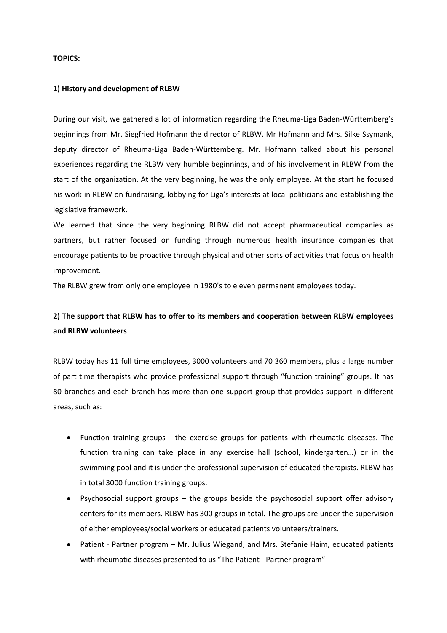#### **TOPICS:**

#### **1) History and development of RLBW**

During our visit, we gathered a lot of information regarding the Rheuma-Liga Baden-Württemberg's beginnings from Mr. Siegfried Hofmann the director of RLBW. Mr Hofmann and Mrs. Silke Ssymank, deputy director of Rheuma-Liga Baden-Württemberg. Mr. Hofmann talked about his personal experiences regarding the RLBW very humble beginnings, and of his involvement in RLBW from the start of the organization. At the very beginning, he was the only employee. At the start he focused his work in RLBW on fundraising, lobbying for Liga's interests at local politicians and establishing the legislative framework.

We learned that since the very beginning RLBW did not accept pharmaceutical companies as partners, but rather focused on funding through numerous health insurance companies that encourage patients to be proactive through physical and other sorts of activities that focus on health improvement.

The RLBW grew from only one employee in 1980's to eleven permanent employees today.

# **2) The support that RLBW has to offer to its members and cooperation between RLBW employees and RLBW volunteers**

RLBW today has 11 full time employees, 3000 volunteers and 70 360 members, plus a large number of part time therapists who provide professional support through "function training" groups. It has 80 branches and each branch has more than one support group that provides support in different areas, such as:

- Function training groups the exercise groups for patients with rheumatic diseases. The function training can take place in any exercise hall (school, kindergarten…) or in the swimming pool and it is under the professional supervision of educated therapists. RLBW has in total 3000 function training groups.
- Psychosocial support groups the groups beside the psychosocial support offer advisory centers for its members. RLBW has 300 groups in total. The groups are under the supervision of either employees/social workers or educated patients volunteers/trainers.
- Patient Partner program Mr. Julius Wiegand, and Mrs. Stefanie Haim, educated patients with rheumatic diseases presented to us "The Patient - Partner program"